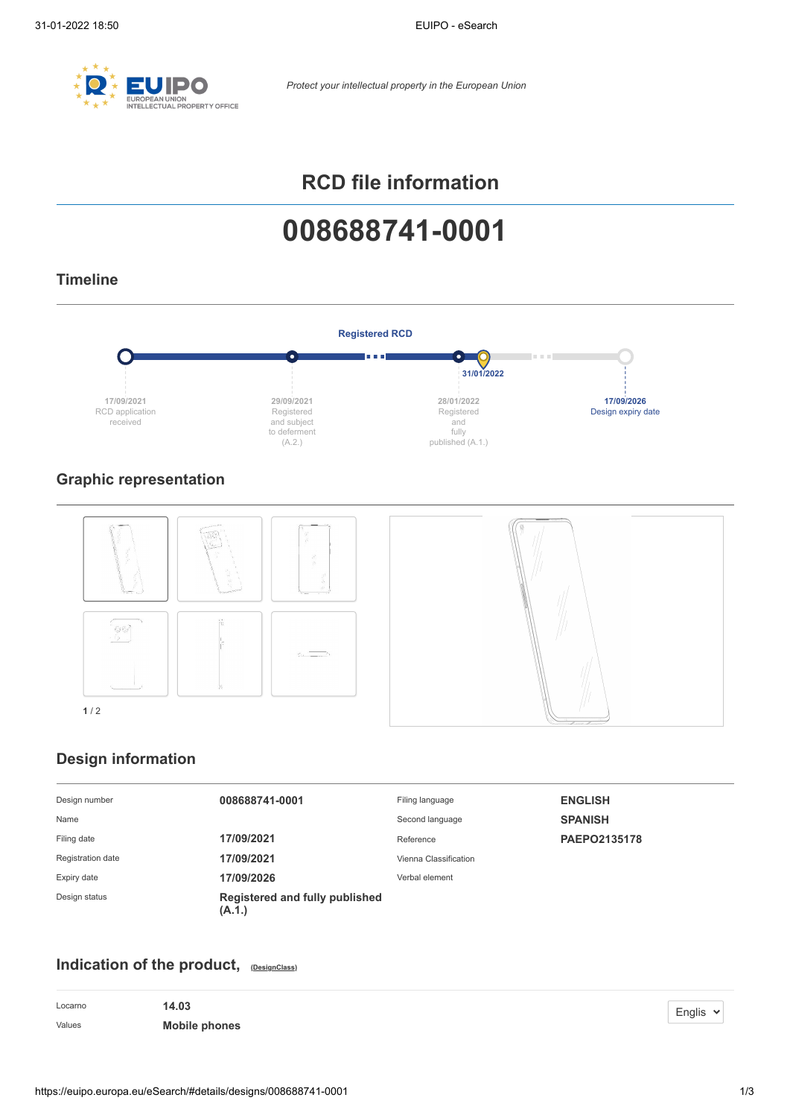

*Protect your intellectual property in the European Union*

# **RCD file information**

# **008688741-0001**

#### **Timeline**



#### **Graphic representation**



#### **Design information**

| Design number     | 008688741-0001                           | Filing language       | <b>ENGLISH</b> |
|-------------------|------------------------------------------|-----------------------|----------------|
| Name              |                                          | Second language       | <b>SPANISH</b> |
| Filing date       | 17/09/2021                               | Reference             | PAEPO2135178   |
| Registration date | 17/09/2021                               | Vienna Classification |                |
| Expiry date       | 17/09/2026                               | Verbal element        |                |
| Design status     | Registered and fully published<br>(A.1.) |                       |                |

## **Indication of the product, [\(DesignClass\)](http://euipo.europa.eu/designclass)**

| Locarno | 14.03                | Englis $\vee$ |
|---------|----------------------|---------------|
| Values  | <b>Mobile phones</b> |               |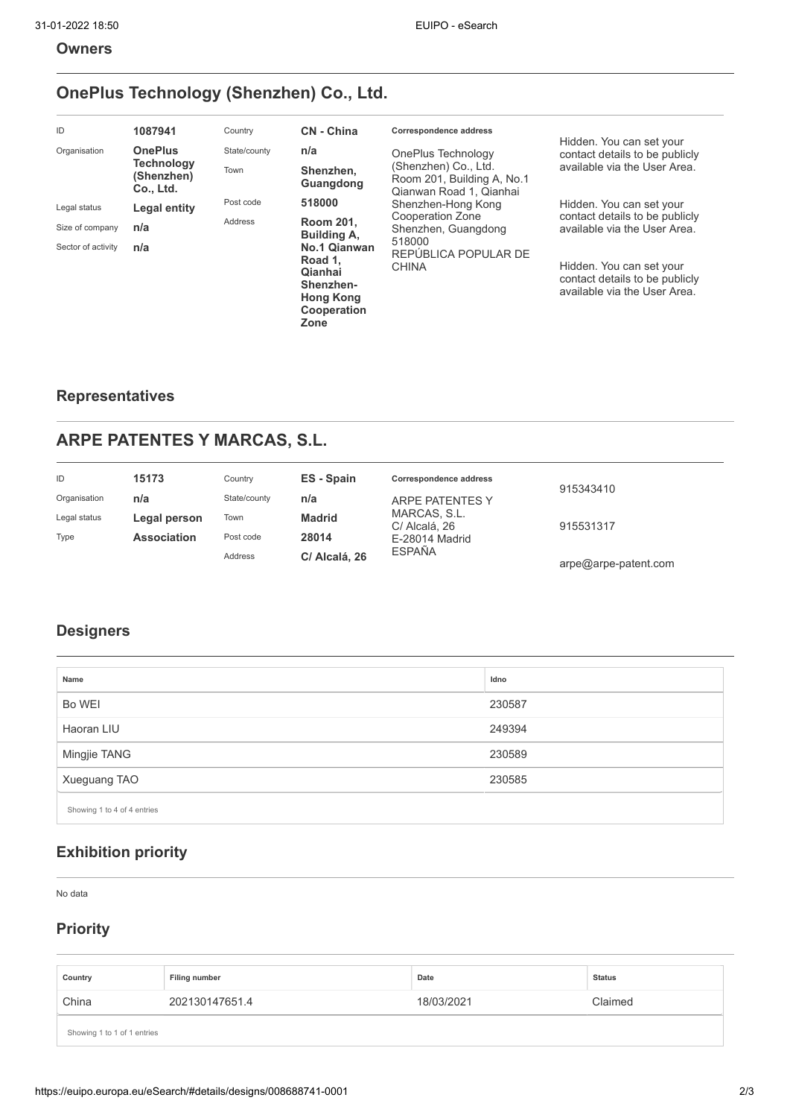#### **Owners**

## **OnePlus Technology (Shenzhen) Co., Ltd.**

| ID                 | 1087941                                      | Country                                                                    | CN - China                      | Correspondence address                                                                     | Hidden. You can set your                                       |
|--------------------|----------------------------------------------|----------------------------------------------------------------------------|---------------------------------|--------------------------------------------------------------------------------------------|----------------------------------------------------------------|
| Organisation       | <b>OnePlus</b>                               | State/county                                                               | n/a                             | OnePlus Technology                                                                         | contact details to be publicly                                 |
|                    | <b>Technology</b><br>(Shenzhen)<br>Co., Ltd. | Town                                                                       | Shenzhen,<br>Guangdong          | (Shenzhen) Co., Ltd.<br>Room 201, Building A, No.1<br>Qianwan Road 1, Qianhai              | available via the User Area.                                   |
| Legal status       | <b>Legal entity</b>                          | Post code                                                                  | 518000                          | Shenzhen-Hong Kong                                                                         | Hidden. You can set your                                       |
| Size of company    | n/a                                          | Address                                                                    | Room 201,<br><b>Building A.</b> | Cooperation Zone<br>Shenzhen, Guangdong                                                    | contact details to be publicly<br>available via the User Area. |
| Sector of activity | n/a                                          |                                                                            | No.1 Qianwan                    | 518000<br>REPÚBLICA POPULAR DE                                                             |                                                                |
|                    |                                              | Road 1,<br>Qianhai<br>Shenzhen-<br><b>Hong Kong</b><br>Cooperation<br>Zone | <b>CHINA</b>                    | Hidden. You can set your<br>contact details to be publicly<br>available via the User Area. |                                                                |

#### **Representatives**

# **ARPE PATENTES Y MARCAS, S.L.**

| ID           | 15173              | Country        | ES - Spain    | Correspondence address        | 915343410            |
|--------------|--------------------|----------------|---------------|-------------------------------|----------------------|
| Organisation | n/a                | State/county   | n/a           | <b>ARPE PATENTES Y</b>        |                      |
| Legal status | Legal person       | Town           | <b>Madrid</b> | MARCAS, S.L.<br>C/ Alcalá, 26 | 915531317            |
| Type         | <b>Association</b> | Post code      | 28014         | E-28014 Madrid                |                      |
|              |                    | <b>Address</b> | C/ Alcalá, 26 | <b>ESPAÑA</b>                 | arpe@arpe-patent.com |

#### **Designers**

| Name                        | Idno   |
|-----------------------------|--------|
| Bo WEI                      | 230587 |
| Haoran LIU                  | 249394 |
| Mingjie TANG                | 230589 |
| Xueguang TAO                | 230585 |
| Showing 1 to 4 of 4 entries |        |

# **Exhibition priority**

No data

### **Priority**

| Country                     | Filing number  | Date       | <b>Status</b> |  |
|-----------------------------|----------------|------------|---------------|--|
| China                       | 202130147651.4 | 18/03/2021 | Claimed       |  |
| Showing 1 to 1 of 1 entries |                |            |               |  |